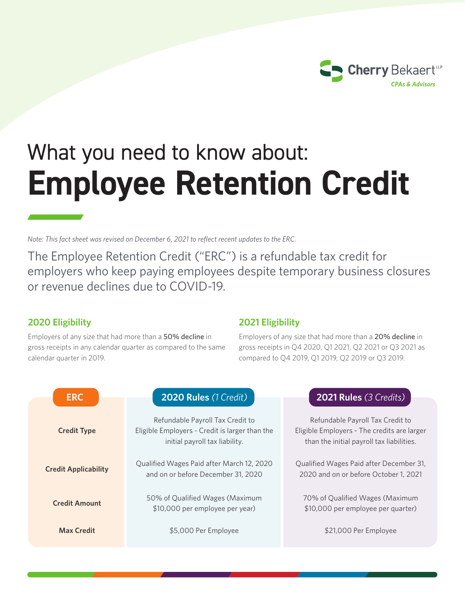

# What you need to know about: **Employee Retention Credit**

*Note: This fact sheet was revised on December 6, 2021 to reflect recent updates to the ERC.*

The Employee Retention Credit ("ERC") is a refundable tax credit for employers who keep paying employees despite temporary business closures or revenue declines due to COVID-19.

## **2020 Eligibility**

Employers of any size that had more than a 50% decline in gross receipts in any calendar quarter as compared to the same calendar quarter in 2019.

## **2021 Eligibility**

Employers of any size that had more than a 20% decline in gross receipts in Q4 2020, Q1 2021, Q2 2021 or Q3 2021 as compared to Q4 2019, Q1 2019, Q2 2019 or Q3 2019.

| <b>ERC</b>                  | 2020 Rules (1 Credit)                                                                                                | <b>2021 Rules (3 Credits)</b>                                                                                                |
|-----------------------------|----------------------------------------------------------------------------------------------------------------------|------------------------------------------------------------------------------------------------------------------------------|
| <b>Credit Type</b>          | Refundable Payroll Tax Credit to<br>Eligible Employers - Credit is larger than the<br>initial payroll tax liability. | Refundable Payroll Tax Credit to<br>Eligible Employers - The credits are larger<br>than the initial payroll tax liabilities. |
| <b>Credit Applicability</b> | Qualified Wages Paid after March 12, 2020<br>and on or before December 31, 2020                                      | Qualified Wages Paid after December 31,<br>2020 and on or before October 1, 2021                                             |
| <b>Credit Amount</b>        | 50% of Qualified Wages (Maximum<br>\$10,000 per employee per year)                                                   | 70% of Qualified Wages (Maximum<br>\$10,000 per employee per quarter)                                                        |
| <b>Max Credit</b>           | \$5,000 Per Employee                                                                                                 | \$21,000 Per Employee                                                                                                        |